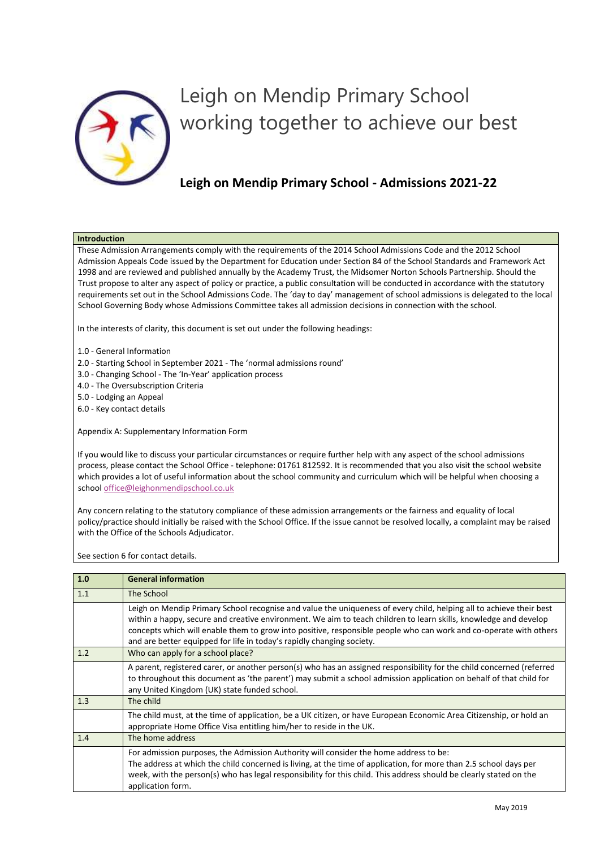

## Leigh on Mendip Primary School working together to achieve our best

## **Leigh on Mendip Primary School - Admissions 2021-22**

## **Introduction**

These Admission Arrangements comply with the requirements of the 2014 School Admissions Code and the 2012 School Admission Appeals Code issued by the Department for Education under Section 84 of the School Standards and Framework Act 1998 and are reviewed and published annually by the Academy Trust, the Midsomer Norton Schools Partnership. Should the Trust propose to alter any aspect of policy or practice, a public consultation will be conducted in accordance with the statutory requirements set out in the School Admissions Code. The 'day to day' management of school admissions is delegated to the local School Governing Body whose Admissions Committee takes all admission decisions in connection with the school.

In the interests of clarity, this document is set out under the following headings:

- 1.0 General Information
- 2.0 Starting School in September 2021 The 'normal admissions round'
- 3.0 Changing School The 'In-Year' application process
- 4.0 The Oversubscription Criteria
- 5.0 Lodging an Appeal
- 6.0 Key contact details

Appendix A: Supplementary Information Form

If you would like to discuss your particular circumstances or require further help with any aspect of the school admissions process, please contact the School Office - telephone: 01761 812592. It is recommended that you also visit the school website which provides a lot of useful information about the school community and curriculum which will be helpful when choosing a schoo[l office@leighonmendipschool.co.uk](mailto:office@leighonmendipschool.co.uk)

Any concern relating to the statutory compliance of these admission arrangements or the fairness and equality of local policy/practice should initially be raised with the School Office. If the issue cannot be resolved locally, a complaint may be raised with the Office of the Schools Adjudicator.

See section 6 for contact details.

| 1.0 | <b>General information</b>                                                                                                                                                                                                                                                                                                                                                                                                            |
|-----|---------------------------------------------------------------------------------------------------------------------------------------------------------------------------------------------------------------------------------------------------------------------------------------------------------------------------------------------------------------------------------------------------------------------------------------|
| 1.1 | The School                                                                                                                                                                                                                                                                                                                                                                                                                            |
|     | Leigh on Mendip Primary School recognise and value the uniqueness of every child, helping all to achieve their best<br>within a happy, secure and creative environment. We aim to teach children to learn skills, knowledge and develop<br>concepts which will enable them to grow into positive, responsible people who can work and co-operate with others<br>and are better equipped for life in today's rapidly changing society. |
| 1.2 | Who can apply for a school place?                                                                                                                                                                                                                                                                                                                                                                                                     |
|     | A parent, registered carer, or another person(s) who has an assigned responsibility for the child concerned (referred<br>to throughout this document as 'the parent') may submit a school admission application on behalf of that child for<br>any United Kingdom (UK) state funded school.                                                                                                                                           |
| 1.3 | The child                                                                                                                                                                                                                                                                                                                                                                                                                             |
|     | The child must, at the time of application, be a UK citizen, or have European Economic Area Citizenship, or hold an<br>appropriate Home Office Visa entitling him/her to reside in the UK.                                                                                                                                                                                                                                            |
| 1.4 | The home address                                                                                                                                                                                                                                                                                                                                                                                                                      |
|     | For admission purposes, the Admission Authority will consider the home address to be:<br>The address at which the child concerned is living, at the time of application, for more than 2.5 school days per<br>week, with the person(s) who has legal responsibility for this child. This address should be clearly stated on the<br>application form.                                                                                 |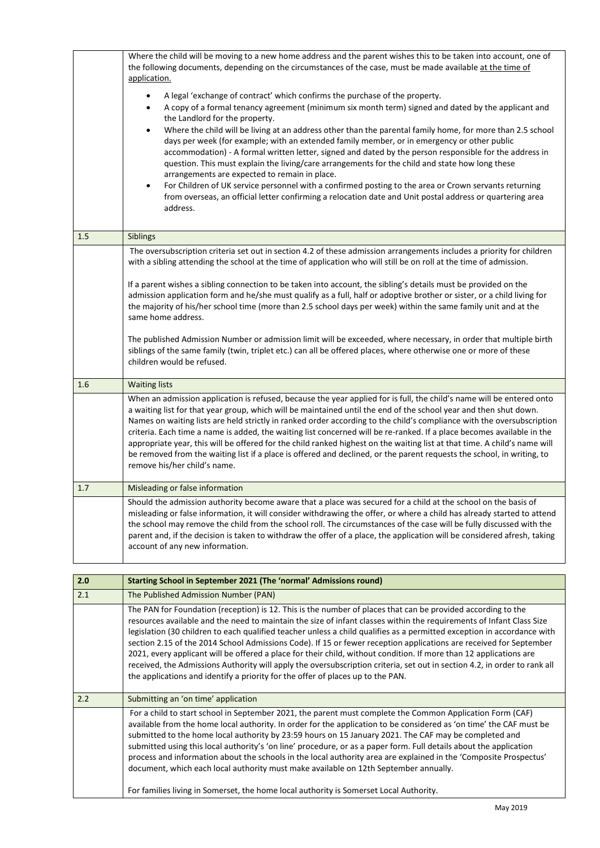|     | Where the child will be moving to a new home address and the parent wishes this to be taken into account, one of<br>the following documents, depending on the circumstances of the case, must be made available at the time of<br>application.<br>A legal 'exchange of contract' which confirms the purchase of the property.<br>$\bullet$<br>A copy of a formal tenancy agreement (minimum six month term) signed and dated by the applicant and<br>$\bullet$<br>the Landlord for the property.<br>Where the child will be living at an address other than the parental family home, for more than 2.5 school<br>$\bullet$<br>days per week (for example; with an extended family member, or in emergency or other public<br>accommodation) - A formal written letter, signed and dated by the person responsible for the address in<br>question. This must explain the living/care arrangements for the child and state how long these<br>arrangements are expected to remain in place.<br>For Children of UK service personnel with a confirmed posting to the area or Crown servants returning<br>$\bullet$<br>from overseas, an official letter confirming a relocation date and Unit postal address or quartering area<br>address. |
|-----|------------------------------------------------------------------------------------------------------------------------------------------------------------------------------------------------------------------------------------------------------------------------------------------------------------------------------------------------------------------------------------------------------------------------------------------------------------------------------------------------------------------------------------------------------------------------------------------------------------------------------------------------------------------------------------------------------------------------------------------------------------------------------------------------------------------------------------------------------------------------------------------------------------------------------------------------------------------------------------------------------------------------------------------------------------------------------------------------------------------------------------------------------------------------------------------------------------------------------------------|
| 1.5 | Siblings                                                                                                                                                                                                                                                                                                                                                                                                                                                                                                                                                                                                                                                                                                                                                                                                                                                                                                                                                                                                                                                                                                                                                                                                                                 |
|     | The oversubscription criteria set out in section 4.2 of these admission arrangements includes a priority for children<br>with a sibling attending the school at the time of application who will still be on roll at the time of admission.<br>If a parent wishes a sibling connection to be taken into account, the sibling's details must be provided on the<br>admission application form and he/she must qualify as a full, half or adoptive brother or sister, or a child living for<br>the majority of his/her school time (more than 2.5 school days per week) within the same family unit and at the<br>same home address.<br>The published Admission Number or admission limit will be exceeded, where necessary, in order that multiple birth<br>siblings of the same family (twin, triplet etc.) can all be offered places, where otherwise one or more of these<br>children would be refused.                                                                                                                                                                                                                                                                                                                                |
| 1.6 | <b>Waiting lists</b><br>When an admission application is refused, because the year applied for is full, the child's name will be entered onto<br>a waiting list for that year group, which will be maintained until the end of the school year and then shut down.<br>Names on waiting lists are held strictly in ranked order according to the child's compliance with the oversubscription<br>criteria. Each time a name is added, the waiting list concerned will be re-ranked. If a place becomes available in the<br>appropriate year, this will be offered for the child ranked highest on the waiting list at that time. A child's name will<br>be removed from the waiting list if a place is offered and declined, or the parent requests the school, in writing, to<br>remove his/her child's name.                                                                                                                                                                                                                                                                                                                                                                                                                            |
| 1.7 | Misleading or false information                                                                                                                                                                                                                                                                                                                                                                                                                                                                                                                                                                                                                                                                                                                                                                                                                                                                                                                                                                                                                                                                                                                                                                                                          |
|     | Should the admission authority become aware that a place was secured for a child at the school on the basis of<br>misleading or false information, it will consider withdrawing the offer, or where a child has already started to attend<br>the school may remove the child from the school roll. The circumstances of the case will be fully discussed with the<br>parent and, if the decision is taken to withdraw the offer of a place, the application will be considered afresh, taking<br>account of any new information.                                                                                                                                                                                                                                                                                                                                                                                                                                                                                                                                                                                                                                                                                                         |

| 2.0 | Starting School in September 2021 (The 'normal' Admissions round)                                                                                                                                                                                                                                                                                                                                                                                                                                                                                                                                                                                                                                                                                                                                                           |  |
|-----|-----------------------------------------------------------------------------------------------------------------------------------------------------------------------------------------------------------------------------------------------------------------------------------------------------------------------------------------------------------------------------------------------------------------------------------------------------------------------------------------------------------------------------------------------------------------------------------------------------------------------------------------------------------------------------------------------------------------------------------------------------------------------------------------------------------------------------|--|
| 2.1 | The Published Admission Number (PAN)                                                                                                                                                                                                                                                                                                                                                                                                                                                                                                                                                                                                                                                                                                                                                                                        |  |
|     | The PAN for Foundation (reception) is 12. This is the number of places that can be provided according to the<br>resources available and the need to maintain the size of infant classes within the requirements of Infant Class Size<br>legislation (30 children to each qualified teacher unless a child qualifies as a permitted exception in accordance with<br>section 2.15 of the 2014 School Admissions Code). If 15 or fewer reception applications are received for September<br>2021, every applicant will be offered a place for their child, without condition. If more than 12 applications are<br>received, the Admissions Authority will apply the oversubscription criteria, set out in section 4.2, in order to rank all<br>the applications and identify a priority for the offer of places up to the PAN. |  |
| 2.2 | Submitting an 'on time' application                                                                                                                                                                                                                                                                                                                                                                                                                                                                                                                                                                                                                                                                                                                                                                                         |  |
|     | For a child to start school in September 2021, the parent must complete the Common Application Form (CAF)<br>available from the home local authority. In order for the application to be considered as 'on time' the CAF must be<br>submitted to the home local authority by 23:59 hours on 15 January 2021. The CAF may be completed and<br>submitted using this local authority's 'on line' procedure, or as a paper form. Full details about the application<br>process and information about the schools in the local authority area are explained in the 'Composite Prospectus'<br>document, which each local authority must make available on 12th September annually.                                                                                                                                                |  |
|     | For families living in Somerset, the home local authority is Somerset Local Authority.                                                                                                                                                                                                                                                                                                                                                                                                                                                                                                                                                                                                                                                                                                                                      |  |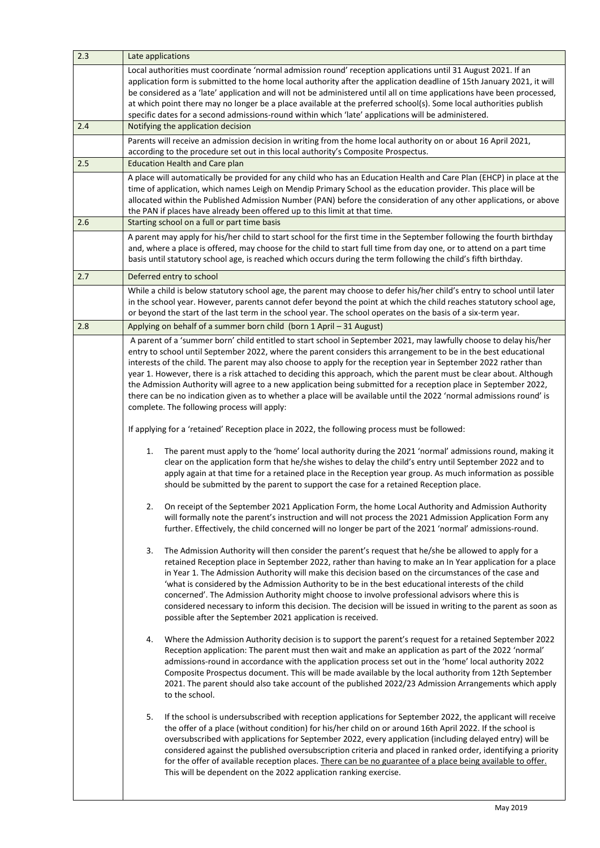| 2.3 | Late applications                                                                                                                                                                                                                                                                                                                                                                                                                                                                                                                                                                                                                                                                                                                                                           |  |
|-----|-----------------------------------------------------------------------------------------------------------------------------------------------------------------------------------------------------------------------------------------------------------------------------------------------------------------------------------------------------------------------------------------------------------------------------------------------------------------------------------------------------------------------------------------------------------------------------------------------------------------------------------------------------------------------------------------------------------------------------------------------------------------------------|--|
|     | Local authorities must coordinate 'normal admission round' reception applications until 31 August 2021. If an<br>application form is submitted to the home local authority after the application deadline of 15th January 2021, it will<br>be considered as a 'late' application and will not be administered until all on time applications have been processed,<br>at which point there may no longer be a place available at the preferred school(s). Some local authorities publish<br>specific dates for a second admissions-round within which 'late' applications will be administered.                                                                                                                                                                              |  |
| 2.4 | Notifying the application decision                                                                                                                                                                                                                                                                                                                                                                                                                                                                                                                                                                                                                                                                                                                                          |  |
|     | Parents will receive an admission decision in writing from the home local authority on or about 16 April 2021,<br>according to the procedure set out in this local authority's Composite Prospectus.                                                                                                                                                                                                                                                                                                                                                                                                                                                                                                                                                                        |  |
| 2.5 | <b>Education Health and Care plan</b>                                                                                                                                                                                                                                                                                                                                                                                                                                                                                                                                                                                                                                                                                                                                       |  |
|     | A place will automatically be provided for any child who has an Education Health and Care Plan (EHCP) in place at the<br>time of application, which names Leigh on Mendip Primary School as the education provider. This place will be<br>allocated within the Published Admission Number (PAN) before the consideration of any other applications, or above<br>the PAN if places have already been offered up to this limit at that time.                                                                                                                                                                                                                                                                                                                                  |  |
| 2.6 | Starting school on a full or part time basis                                                                                                                                                                                                                                                                                                                                                                                                                                                                                                                                                                                                                                                                                                                                |  |
|     | A parent may apply for his/her child to start school for the first time in the September following the fourth birthday<br>and, where a place is offered, may choose for the child to start full time from day one, or to attend on a part time<br>basis until statutory school age, is reached which occurs during the term following the child's fifth birthday.                                                                                                                                                                                                                                                                                                                                                                                                           |  |
| 2.7 | Deferred entry to school                                                                                                                                                                                                                                                                                                                                                                                                                                                                                                                                                                                                                                                                                                                                                    |  |
|     | While a child is below statutory school age, the parent may choose to defer his/her child's entry to school until later<br>in the school year. However, parents cannot defer beyond the point at which the child reaches statutory school age,<br>or beyond the start of the last term in the school year. The school operates on the basis of a six-term year.                                                                                                                                                                                                                                                                                                                                                                                                             |  |
| 2.8 | Applying on behalf of a summer born child (born 1 April - 31 August)                                                                                                                                                                                                                                                                                                                                                                                                                                                                                                                                                                                                                                                                                                        |  |
|     | A parent of a 'summer born' child entitled to start school in September 2021, may lawfully choose to delay his/her<br>entry to school until September 2022, where the parent considers this arrangement to be in the best educational<br>interests of the child. The parent may also choose to apply for the reception year in September 2022 rather than<br>year 1. However, there is a risk attached to deciding this approach, which the parent must be clear about. Although<br>the Admission Authority will agree to a new application being submitted for a reception place in September 2022,<br>there can be no indication given as to whether a place will be available until the 2022 'normal admissions round' is<br>complete. The following process will apply: |  |
|     | If applying for a 'retained' Reception place in 2022, the following process must be followed:                                                                                                                                                                                                                                                                                                                                                                                                                                                                                                                                                                                                                                                                               |  |
|     | The parent must apply to the 'home' local authority during the 2021 'normal' admissions round, making it<br>1.<br>clear on the application form that he/she wishes to delay the child's entry until September 2022 and to<br>apply again at that time for a retained place in the Reception year group. As much information as possible<br>should be submitted by the parent to support the case for a retained Reception place.                                                                                                                                                                                                                                                                                                                                            |  |
|     | 2.<br>On receipt of the September 2021 Application Form, the home Local Authority and Admission Authority<br>will formally note the parent's instruction and will not process the 2021 Admission Application Form any<br>further. Effectively, the child concerned will no longer be part of the 2021 'normal' admissions-round.                                                                                                                                                                                                                                                                                                                                                                                                                                            |  |
|     | The Admission Authority will then consider the parent's request that he/she be allowed to apply for a<br>3.<br>retained Reception place in September 2022, rather than having to make an In Year application for a place<br>in Year 1. The Admission Authority will make this decision based on the circumstances of the case and<br>'what is considered by the Admission Authority to be in the best educational interests of the child<br>concerned'. The Admission Authority might choose to involve professional advisors where this is<br>considered necessary to inform this decision. The decision will be issued in writing to the parent as soon as<br>possible after the September 2021 application is received.                                                  |  |
|     | Where the Admission Authority decision is to support the parent's request for a retained September 2022<br>4.<br>Reception application: The parent must then wait and make an application as part of the 2022 'normal'<br>admissions-round in accordance with the application process set out in the 'home' local authority 2022<br>Composite Prospectus document. This will be made available by the local authority from 12th September<br>2021. The parent should also take account of the published 2022/23 Admission Arrangements which apply<br>to the school.                                                                                                                                                                                                        |  |
|     | 5.<br>If the school is undersubscribed with reception applications for September 2022, the applicant will receive<br>the offer of a place (without condition) for his/her child on or around 16th April 2022. If the school is<br>oversubscribed with applications for September 2022, every application (including delayed entry) will be<br>considered against the published oversubscription criteria and placed in ranked order, identifying a priority<br>for the offer of available reception places. There can be no guarantee of a place being available to offer.<br>This will be dependent on the 2022 application ranking exercise.                                                                                                                              |  |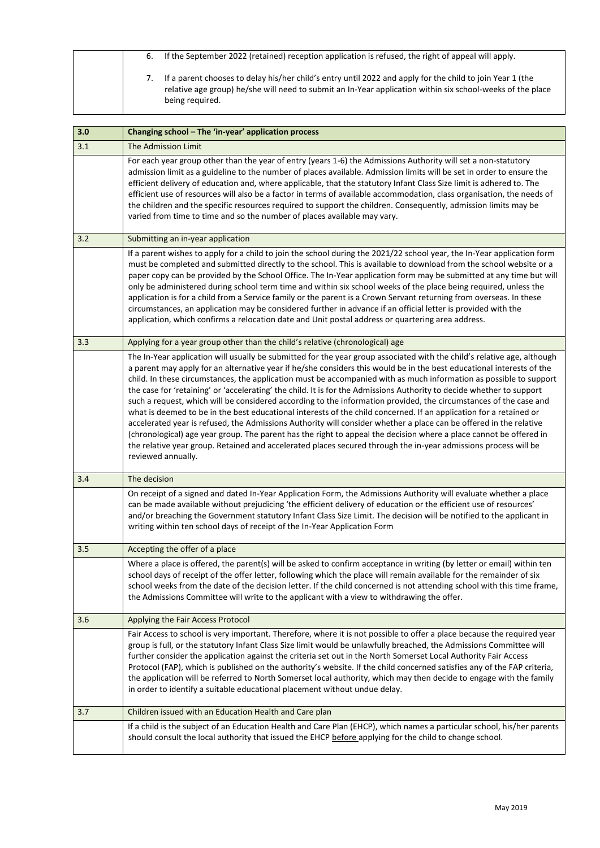| 6. | If the September 2022 (retained) reception application is refused, the right of appeal will apply.                                                                                                                                         |
|----|--------------------------------------------------------------------------------------------------------------------------------------------------------------------------------------------------------------------------------------------|
|    | If a parent chooses to delay his/her child's entry until 2022 and apply for the child to join Year 1 (the<br>relative age group) he/she will need to submit an In-Year application within six school-weeks of the place<br>being required. |

| 3.0 | Changing school - The 'in-year' application process                                                                                                                                                                                                                                                                                                                                                                                                                                                                                                                                                                                                                                                                                                                                                                                                                                                                                                                                                                                                                                                                             |
|-----|---------------------------------------------------------------------------------------------------------------------------------------------------------------------------------------------------------------------------------------------------------------------------------------------------------------------------------------------------------------------------------------------------------------------------------------------------------------------------------------------------------------------------------------------------------------------------------------------------------------------------------------------------------------------------------------------------------------------------------------------------------------------------------------------------------------------------------------------------------------------------------------------------------------------------------------------------------------------------------------------------------------------------------------------------------------------------------------------------------------------------------|
| 3.1 | The Admission Limit                                                                                                                                                                                                                                                                                                                                                                                                                                                                                                                                                                                                                                                                                                                                                                                                                                                                                                                                                                                                                                                                                                             |
|     | For each year group other than the year of entry (years 1-6) the Admissions Authority will set a non-statutory<br>admission limit as a guideline to the number of places available. Admission limits will be set in order to ensure the<br>efficient delivery of education and, where applicable, that the statutory Infant Class Size limit is adhered to. The<br>efficient use of resources will also be a factor in terms of available accommodation, class organisation, the needs of<br>the children and the specific resources required to support the children. Consequently, admission limits may be<br>varied from time to time and so the number of places available may vary.                                                                                                                                                                                                                                                                                                                                                                                                                                        |
| 3.2 | Submitting an in-year application                                                                                                                                                                                                                                                                                                                                                                                                                                                                                                                                                                                                                                                                                                                                                                                                                                                                                                                                                                                                                                                                                               |
|     | If a parent wishes to apply for a child to join the school during the 2021/22 school year, the In-Year application form<br>must be completed and submitted directly to the school. This is available to download from the school website or a<br>paper copy can be provided by the School Office. The In-Year application form may be submitted at any time but will<br>only be administered during school term time and within six school weeks of the place being required, unless the<br>application is for a child from a Service family or the parent is a Crown Servant returning from overseas. In these<br>circumstances, an application may be considered further in advance if an official letter is provided with the<br>application, which confirms a relocation date and Unit postal address or quartering area address.                                                                                                                                                                                                                                                                                           |
| 3.3 | Applying for a year group other than the child's relative (chronological) age                                                                                                                                                                                                                                                                                                                                                                                                                                                                                                                                                                                                                                                                                                                                                                                                                                                                                                                                                                                                                                                   |
|     | The In-Year application will usually be submitted for the year group associated with the child's relative age, although<br>a parent may apply for an alternative year if he/she considers this would be in the best educational interests of the<br>child. In these circumstances, the application must be accompanied with as much information as possible to support<br>the case for 'retaining' or 'accelerating' the child. It is for the Admissions Authority to decide whether to support<br>such a request, which will be considered according to the information provided, the circumstances of the case and<br>what is deemed to be in the best educational interests of the child concerned. If an application for a retained or<br>accelerated year is refused, the Admissions Authority will consider whether a place can be offered in the relative<br>(chronological) age year group. The parent has the right to appeal the decision where a place cannot be offered in<br>the relative year group. Retained and accelerated places secured through the in-year admissions process will be<br>reviewed annually. |
| 3.4 | The decision                                                                                                                                                                                                                                                                                                                                                                                                                                                                                                                                                                                                                                                                                                                                                                                                                                                                                                                                                                                                                                                                                                                    |
|     | On receipt of a signed and dated In-Year Application Form, the Admissions Authority will evaluate whether a place<br>can be made available without prejudicing 'the efficient delivery of education or the efficient use of resources'<br>and/or breaching the Government statutory Infant Class Size Limit. The decision will be notified to the applicant in<br>writing within ten school days of receipt of the In-Year Application Form                                                                                                                                                                                                                                                                                                                                                                                                                                                                                                                                                                                                                                                                                     |
| 3.5 | Accepting the offer of a place                                                                                                                                                                                                                                                                                                                                                                                                                                                                                                                                                                                                                                                                                                                                                                                                                                                                                                                                                                                                                                                                                                  |
|     | Where a place is offered, the parent(s) will be asked to confirm acceptance in writing (by letter or email) within ten<br>school days of receipt of the offer letter, following which the place will remain available for the remainder of six<br>school weeks from the date of the decision letter. If the child concerned is not attending school with this time frame,<br>the Admissions Committee will write to the applicant with a view to withdrawing the offer.                                                                                                                                                                                                                                                                                                                                                                                                                                                                                                                                                                                                                                                         |
| 3.6 | Applying the Fair Access Protocol                                                                                                                                                                                                                                                                                                                                                                                                                                                                                                                                                                                                                                                                                                                                                                                                                                                                                                                                                                                                                                                                                               |
|     | Fair Access to school is very important. Therefore, where it is not possible to offer a place because the required year<br>group is full, or the statutory Infant Class Size limit would be unlawfully breached, the Admissions Committee will<br>further consider the application against the criteria set out in the North Somerset Local Authority Fair Access<br>Protocol (FAP), which is published on the authority's website. If the child concerned satisfies any of the FAP criteria,<br>the application will be referred to North Somerset local authority, which may then decide to engage with the family<br>in order to identify a suitable educational placement without undue delay.                                                                                                                                                                                                                                                                                                                                                                                                                              |
| 3.7 | Children issued with an Education Health and Care plan                                                                                                                                                                                                                                                                                                                                                                                                                                                                                                                                                                                                                                                                                                                                                                                                                                                                                                                                                                                                                                                                          |
|     | If a child is the subject of an Education Health and Care Plan (EHCP), which names a particular school, his/her parents<br>should consult the local authority that issued the EHCP before applying for the child to change school.                                                                                                                                                                                                                                                                                                                                                                                                                                                                                                                                                                                                                                                                                                                                                                                                                                                                                              |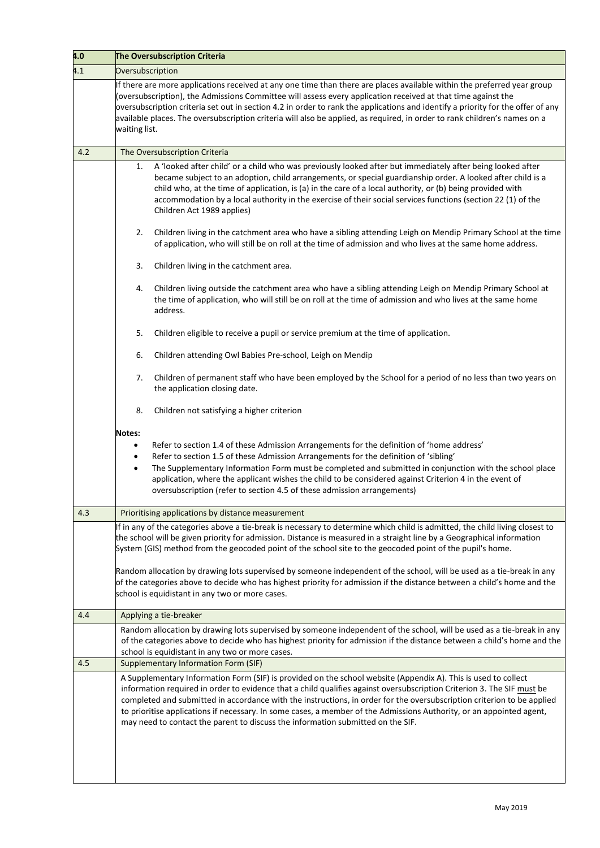| 4.0 | The Oversubscription Criteria                                                                                                                                                                                                                                                                                                                                                                                                                                                                                                                                                 |  |
|-----|-------------------------------------------------------------------------------------------------------------------------------------------------------------------------------------------------------------------------------------------------------------------------------------------------------------------------------------------------------------------------------------------------------------------------------------------------------------------------------------------------------------------------------------------------------------------------------|--|
| 4.1 | Oversubscription                                                                                                                                                                                                                                                                                                                                                                                                                                                                                                                                                              |  |
|     | If there are more applications received at any one time than there are places available within the preferred year group<br>(oversubscription), the Admissions Committee will assess every application received at that time against the<br>oversubscription criteria set out in section 4.2 in order to rank the applications and identify a priority for the offer of any<br>available places. The oversubscription criteria will also be applied, as required, in order to rank children's names on a<br>waiting list.                                                      |  |
| 4.2 | The Oversubscription Criteria                                                                                                                                                                                                                                                                                                                                                                                                                                                                                                                                                 |  |
|     | A 'looked after child' or a child who was previously looked after but immediately after being looked after<br>1.<br>became subject to an adoption, child arrangements, or special guardianship order. A looked after child is a<br>child who, at the time of application, is (a) in the care of a local authority, or (b) being provided with<br>accommodation by a local authority in the exercise of their social services functions (section 22 (1) of the<br>Children Act 1989 applies)                                                                                   |  |
|     | Children living in the catchment area who have a sibling attending Leigh on Mendip Primary School at the time<br>2.<br>of application, who will still be on roll at the time of admission and who lives at the same home address.                                                                                                                                                                                                                                                                                                                                             |  |
|     | 3.<br>Children living in the catchment area.                                                                                                                                                                                                                                                                                                                                                                                                                                                                                                                                  |  |
|     | Children living outside the catchment area who have a sibling attending Leigh on Mendip Primary School at<br>4.<br>the time of application, who will still be on roll at the time of admission and who lives at the same home<br>address.                                                                                                                                                                                                                                                                                                                                     |  |
|     | 5.<br>Children eligible to receive a pupil or service premium at the time of application.                                                                                                                                                                                                                                                                                                                                                                                                                                                                                     |  |
|     | 6.<br>Children attending Owl Babies Pre-school, Leigh on Mendip                                                                                                                                                                                                                                                                                                                                                                                                                                                                                                               |  |
|     | Children of permanent staff who have been employed by the School for a period of no less than two years on<br>7.<br>the application closing date.                                                                                                                                                                                                                                                                                                                                                                                                                             |  |
|     | 8.<br>Children not satisfying a higher criterion                                                                                                                                                                                                                                                                                                                                                                                                                                                                                                                              |  |
|     | Notes:<br>Refer to section 1.4 of these Admission Arrangements for the definition of 'home address'<br>$\bullet$<br>Refer to section 1.5 of these Admission Arrangements for the definition of 'sibling'<br>$\bullet$<br>The Supplementary Information Form must be completed and submitted in conjunction with the school place<br>$\bullet$<br>application, where the applicant wishes the child to be considered against Criterion 4 in the event of<br>oversubscription (refer to section 4.5 of these admission arrangements)                                            |  |
| 4.3 | Prioritising applications by distance measurement                                                                                                                                                                                                                                                                                                                                                                                                                                                                                                                             |  |
|     | If in any of the categories above a tie-break is necessary to determine which child is admitted, the child living closest to<br>the school will be given priority for admission. Distance is measured in a straight line by a Geographical information<br>System (GIS) method from the geocoded point of the school site to the geocoded point of the pupil's home.                                                                                                                                                                                                           |  |
|     | Random allocation by drawing lots supervised by someone independent of the school, will be used as a tie-break in any<br>of the categories above to decide who has highest priority for admission if the distance between a child's home and the<br>school is equidistant in any two or more cases.                                                                                                                                                                                                                                                                           |  |
| 4.4 | Applying a tie-breaker                                                                                                                                                                                                                                                                                                                                                                                                                                                                                                                                                        |  |
|     | Random allocation by drawing lots supervised by someone independent of the school, will be used as a tie-break in any<br>of the categories above to decide who has highest priority for admission if the distance between a child's home and the<br>school is equidistant in any two or more cases.                                                                                                                                                                                                                                                                           |  |
| 4.5 | <b>Supplementary Information Form (SIF)</b>                                                                                                                                                                                                                                                                                                                                                                                                                                                                                                                                   |  |
|     | A Supplementary Information Form (SIF) is provided on the school website (Appendix A). This is used to collect<br>information required in order to evidence that a child qualifies against oversubscription Criterion 3. The SIF must be<br>completed and submitted in accordance with the instructions, in order for the oversubscription criterion to be applied<br>to prioritise applications if necessary. In some cases, a member of the Admissions Authority, or an appointed agent,<br>may need to contact the parent to discuss the information submitted on the SIF. |  |